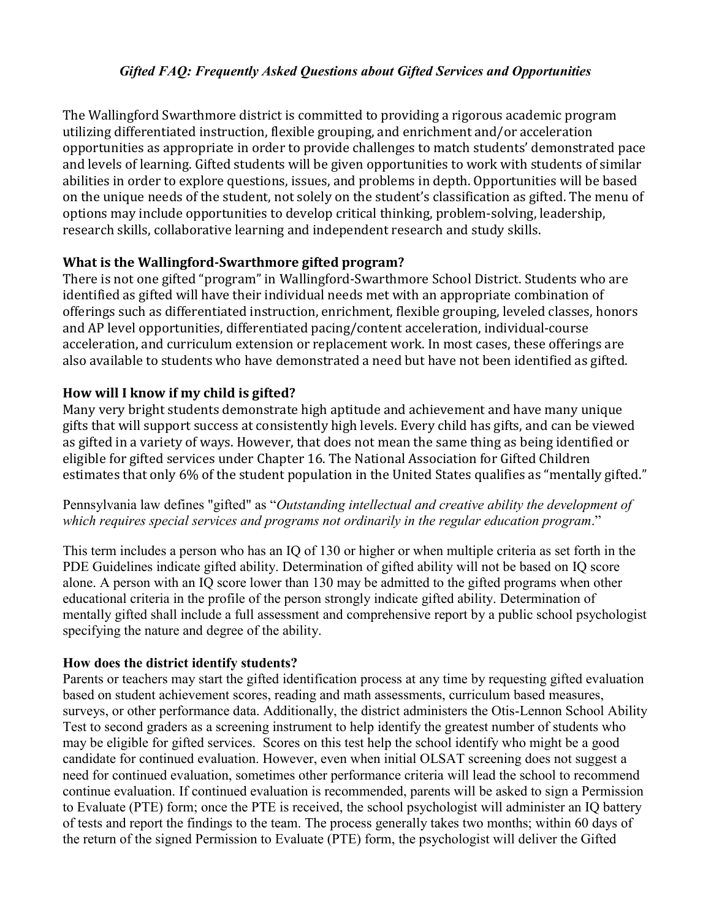#### *Gifted FAQ: Frequently Asked Questions about Gifted Services and Opportunities*

The Wallingford Swarthmore district is committed to providing a rigorous academic program utilizing differentiated instruction, flexible grouping, and enrichment and/or acceleration opportunities as appropriate in order to provide challenges to match students' demonstrated pace and levels of learning. Gifted students will be given opportunities to work with students of similar abilities in order to explore questions, issues, and problems in depth. Opportunities will be based on the unique needs of the student, not solely on the student's classification as gifted. The menu of options may include opportunities to develop critical thinking, problem-solving, leadership, research skills, collaborative learning and independent research and study skills.

#### **What is the Wallingford-Swarthmore gifted program?**

There is not one gifted "program" in Wallingford-Swarthmore School District. Students who are identified as gifted will have their individual needs met with an appropriate combination of offerings such as differentiated instruction, enrichment, flexible grouping, leveled classes, honors and AP level opportunities, differentiated pacing/content acceleration, individual-course acceleration, and curriculum extension or replacement work. In most cases, these offerings are also available to students who have demonstrated a need but have not been identified as gifted.

#### **How will I know if my child is gifted?**

Many very bright students demonstrate high aptitude and achievement and have many unique gifts that will support success at consistently high levels. Every child has gifts, and can be viewed as gifted in a variety of ways. However, that does not mean the same thing as being identified or eligible for gifted services under Chapter 16. The National Association for Gifted Children estimates that only 6% of the student population in the United States qualifies as "mentally gifted."

Pennsylvania law defines "gifted" as "*Outstanding intellectual and creative ability the development of which requires special services and programs not ordinarily in the regular education program*."

This term includes a person who has an IQ of 130 or higher or when multiple criteria as set forth in the PDE Guidelines indicate gifted ability. Determination of gifted ability will not be based on IQ score alone. A person with an IQ score lower than 130 may be admitted to the gifted programs when other educational criteria in the profile of the person strongly indicate gifted ability. Determination of mentally gifted shall include a full assessment and comprehensive report by a public school psychologist specifying the nature and degree of the ability.

#### **How does the district identify students?**

Parents or teachers may start the gifted identification process at any time by requesting gifted evaluation based on student achievement scores, reading and math assessments, curriculum based measures, surveys, or other performance data. Additionally, the district administers the Otis-Lennon School Ability Test to second graders as a screening instrument to help identify the greatest number of students who may be eligible for gifted services. Scores on this test help the school identify who might be a good candidate for continued evaluation. However, even when initial OLSAT screening does not suggest a need for continued evaluation, sometimes other performance criteria will lead the school to recommend continue evaluation. If continued evaluation is recommended, parents will be asked to sign a Permission to Evaluate (PTE) form; once the PTE is received, the school psychologist will administer an IQ battery of tests and report the findings to the team. The process generally takes two months; within 60 days of the return of the signed Permission to Evaluate (PTE) form, the psychologist will deliver the Gifted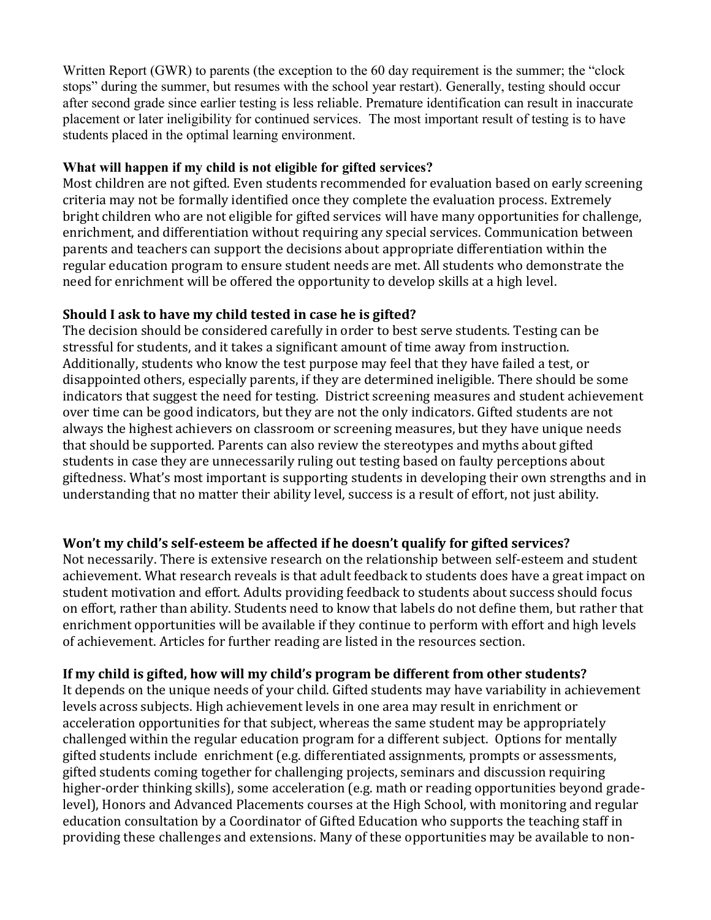Written Report (GWR) to parents (the exception to the 60 day requirement is the summer; the "clock" stops" during the summer, but resumes with the school year restart). Generally, testing should occur after second grade since earlier testing is less reliable. Premature identification can result in inaccurate placement or later ineligibility for continued services. The most important result of testing is to have students placed in the optimal learning environment.

#### **What will happen if my child is not eligible for gifted services?**

Most children are not gifted. Even students recommended for evaluation based on early screening criteria may not be formally identified once they complete the evaluation process. Extremely bright children who are not eligible for gifted services will have many opportunities for challenge, enrichment, and differentiation without requiring any special services. Communication between parents and teachers can support the decisions about appropriate differentiation within the regular education program to ensure student needs are met. All students who demonstrate the need for enrichment will be offered the opportunity to develop skills at a high level.

#### **Should I ask to have my child tested in case he is gifted?**

The decision should be considered carefully in order to best serve students. Testing can be stressful for students, and it takes a significant amount of time away from instruction. Additionally, students who know the test purpose may feel that they have failed a test, or disappointed others, especially parents, if they are determined ineligible. There should be some indicators that suggest the need for testing. District screening measures and student achievement over time can be good indicators, but they are not the only indicators. Gifted students are not always the highest achievers on classroom or screening measures, but they have unique needs that should be supported. Parents can also review the stereotypes and myths about gifted students in case they are unnecessarily ruling out testing based on faulty perceptions about giftedness. What's most important is supporting students in developing their own strengths and in understanding that no matter their ability level, success is a result of effort, not just ability.

### **Won't my child's self-esteem be affected if he doesn't qualify for gifted services?**

Not necessarily. There is extensive research on the relationship between self-esteem and student achievement. What research reveals is that adult feedback to students does have a great impact on student motivation and effort. Adults providing feedback to students about success should focus on effort, rather than ability. Students need to know that labels do not define them, but rather that enrichment opportunities will be available if they continue to perform with effort and high levels of achievement. Articles for further reading are listed in the resources section.

### **If my child is gifted, how will my child's program be different from other students?**

It depends on the unique needs of your child. Gifted students may have variability in achievement levels across subjects. High achievement levels in one area may result in enrichment or acceleration opportunities for that subject, whereas the same student may be appropriately challenged within the regular education program for a different subject. Options for mentally gifted students include enrichment (e.g. differentiated assignments, prompts or assessments, gifted students coming together for challenging projects, seminars and discussion requiring higher-order thinking skills), some acceleration (e.g. math or reading opportunities beyond gradelevel), Honors and Advanced Placements courses at the High School, with monitoring and regular education consultation by a Coordinator of Gifted Education who supports the teaching staff in providing these challenges and extensions. Many of these opportunities may be available to non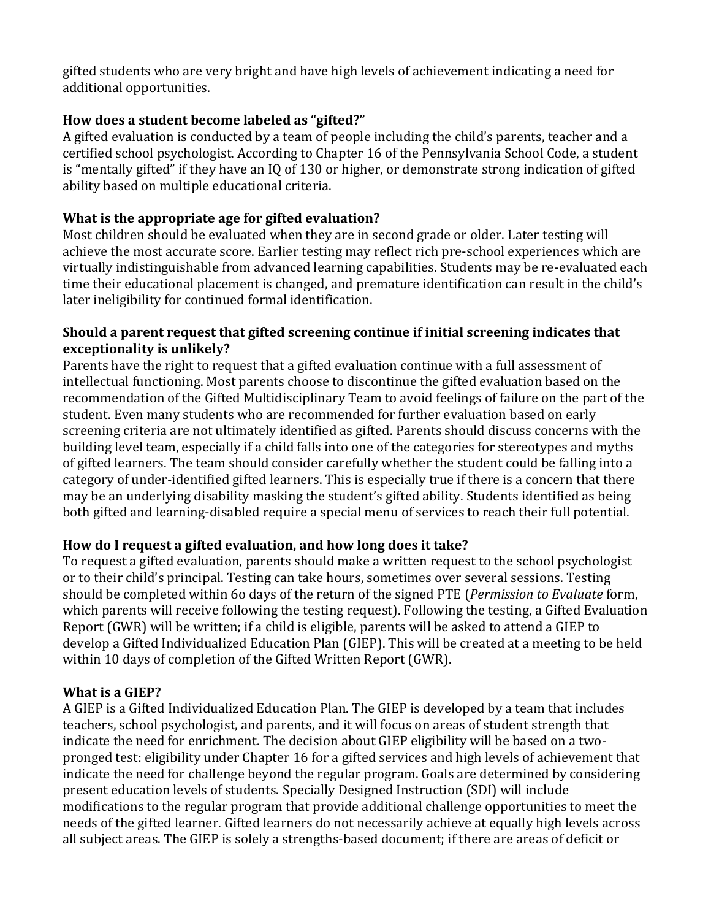gifted students who are very bright and have high levels of achievement indicating a need for additional opportunities.

### **[How does a student become labeled as "gifted?"](http://www.rtsd.org/site/default.aspx?PageType=3&ModuleInstanceID=15331&ViewID=7b97f7ed-8e5e-4120-848f-a8b4987d588f&RenderLoc=0&FlexDataID=21150&PageID=14766)**

A gifted evaluation is conducted by a team of people including the child's parents, teacher and a certified school psychologist. According to Chapter 16 of the Pennsylvania School Code, a student is "mentally gifted" if they have an IQ of 130 or higher, or demonstrate strong indication of gifted ability based on multiple educational criteria.

### **What is the appropriate age for gifted evaluation?**

Most children should be evaluated when they are in second grade or older. Later testing will achieve the most accurate score. Earlier testing may reflect rich pre-school experiences which are virtually indistinguishable from advanced learning capabilities. Students may be re-evaluated each time their educational placement is changed, and premature identification can result in the child's later ineligibility for continued formal identification.

#### **Should a parent request that gifted screening continue if initial screening indicates that exceptionality is unlikely?**

Parents have the right to request that a gifted evaluation continue with a full assessment of intellectual functioning. Most parents choose to discontinue the gifted evaluation based on the recommendation of the Gifted Multidisciplinary Team to avoid feelings of failure on the part of the student. Even many students who are recommended for further evaluation based on early screening criteria are not ultimately identified as gifted. Parents should discuss concerns with the building level team, especially if a child falls into one of the categories for stereotypes and myths of gifted learners. The team should consider carefully whether the student could be falling into a category of under-identified gifted learners. This is especially true if there is a concern that there may be an underlying disability masking the student's gifted ability. Students identified as being both gifted and learning-disabled require a special menu of services to reach their full potential.

### **How do I request a gifted evaluation, and how long does it take?**

To request a gifted evaluation, parents should make a written request to the school psychologist or to their child's principal. Testing can take hours, sometimes over several sessions. Testing should be completed within 6o days of the return of the signed PTE (*Permission to Evaluate* form, which parents will receive following the testing request). Following the testing, a Gifted Evaluation Report (GWR) will be written; if a child is eligible, parents will be asked to attend a GIEP to develop a Gifted Individualized Education Plan (GIEP). This will be created at a meeting to be held within 10 days of completion of the Gifted Written Report (GWR).

### **What is a GIEP?**

A GIEP is a Gifted Individualized Education Plan. The GIEP is developed by a team that includes teachers, school psychologist, and parents, and it will focus on areas of student strength that indicate the need for enrichment. The decision about GIEP eligibility will be based on a twopronged test: eligibility under Chapter 16 for a gifted services and high levels of achievement that indicate the need for challenge beyond the regular program. Goals are determined by considering present education levels of students. Specially Designed Instruction (SDI) will include modifications to the regular program that provide additional challenge opportunities to meet the needs of the gifted learner. Gifted learners do not necessarily achieve at equally high levels across all subject areas. The GIEP is solely a strengths-based document; if there are areas of deficit or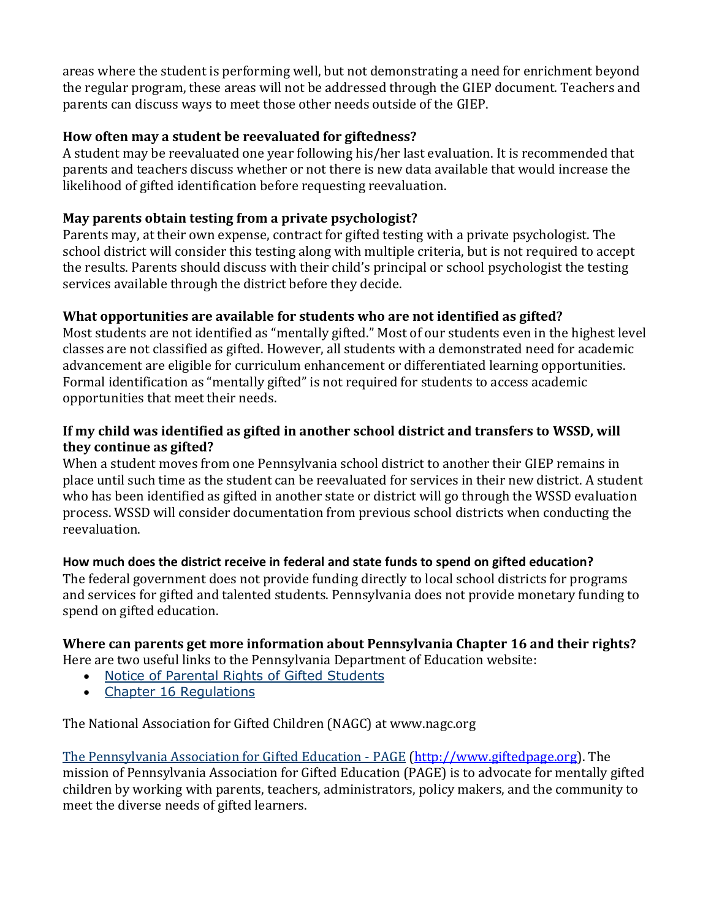areas where the student is performing well, but not demonstrating a need for enrichment beyond the regular program, these areas will not be addressed through the GIEP document. Teachers and parents can discuss ways to meet those other needs outside of the GIEP.

### **How often may a student be reevaluated for giftedness?**

A student may be reevaluated one year following his/her last evaluation. It is recommended that parents and teachers discuss whether or not there is new data available that would increase the likelihood of gifted identification before requesting reevaluation.

### **May parents obtain testing from a private psychologist?**

Parents may, at their own expense, contract for gifted testing with a private psychologist. The school district will consider this testing along with multiple criteria, but is not required to accept the results. Parents should discuss with their child's principal or school psychologist the testing services available through the district before they decide.

### **What opportunities are available for students who are not identified as gifted?**

Most students are not identified as "mentally gifted." Most of our students even in the highest level classes are not classified as gifted. However, all students with a demonstrated need for academic advancement are eligible for curriculum enhancement or differentiated learning opportunities. Formal identification as "mentally gifted" is not required for students to access academic opportunities that meet their needs.

### **If my child was identified as gifted in another school district and transfers to WSSD, will they continue as gifted?**

When a student moves from one Pennsylvania school district to another their GIEP remains in place until such time as the student can be reevaluated for services in their new district. A student who has been identified as gifted in another state or district will go through the WSSD evaluation process. WSSD will consider documentation from previous school districts when conducting the reevaluation.

## **How much does the district receive in federal and state funds to spend on gifted education?**

The federal government does not provide funding directly to local school districts for programs and services for gifted and talented students. Pennsylvania does not provide monetary funding to spend on gifted education.

# **Where can parents get more information about Pennsylvania Chapter 16 and their rights?**

Here are two useful links to the Pennsylvania Department of Education website:

- [Notice of Parental Rights of Gifted Students](http://www.portal.state.pa.us/portal/http;/www.portal.state.pa.us;80/portal/server.pt/gateway/PTARGS_0_123531_1380238_0_0_18/Notice%20of%20Parental%20Rights%20for%20Gifted%20Students.pdf)
- [Chapter 16 Regulations](http://www.pacode.com/secure/data/022/chapter16/chap16toc.html)

The National Association for Gifted Children (NAGC) at www.nagc.org

[The Pennsylvania Association for Gifted Education -](http://www.portal.state.pa.us/portal/server.pt?open=512&objID=7652&mode=2&externalurl=http://www.giftedpage.org/) PAGE [\(http://www.giftedpage.org\)](http://www.giftedpage.org/). The mission of Pennsylvania Association for Gifted Education (PAGE) is to advocate for mentally gifted children by working with parents, teachers, administrators, policy makers, and the community to meet the diverse needs of gifted learners.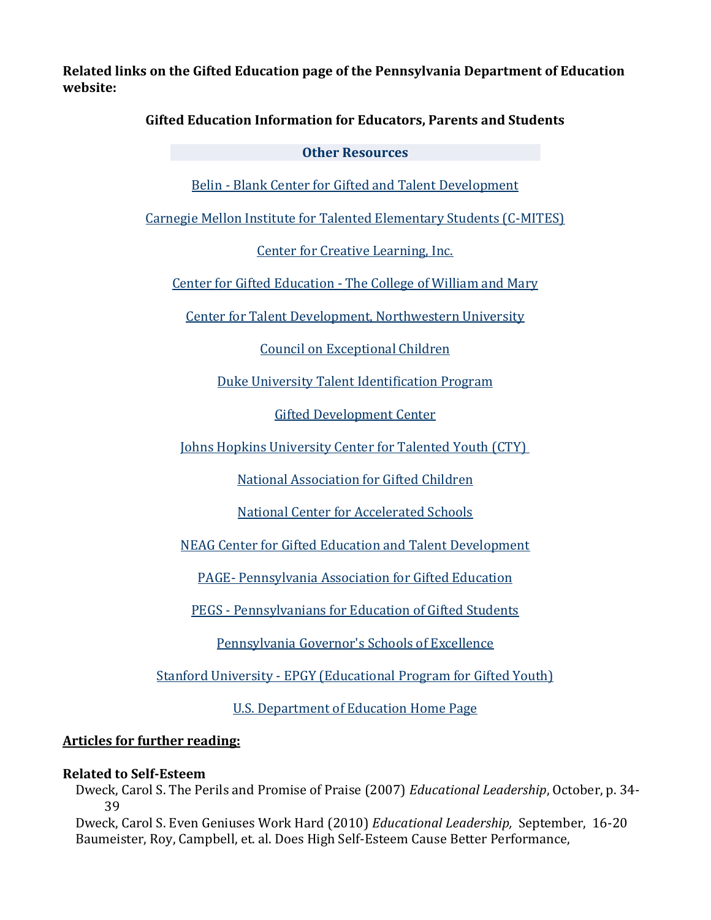**Related links on the Gifted Education page of the Pennsylvania Department of Education website:**

#### **Gifted Education Information for Educators, Parents and Students**

#### **Other Resources**

Belin - [Blank Center for Gifted and Talent Development](http://www.portal.state.pa.us/portal/server.pt?open=512&objID=7652&mode=2&externalurl=http://www.education.uiowa.edu/html/belinblank/)

[Carnegie Mellon Institute for Talented Elementary Students \(C-MITES\)](http://www.portal.state.pa.us/portal/server.pt?open=512&objID=7652&mode=2&externalurl=http://www.cmu.edu/outreach/c-mites/)

[Center for Creative Learning, Inc.](http://www.portal.state.pa.us/portal/server.pt?open=512&objID=7652&mode=2&externalurl=http://www.creativelearning.com/) 

Center for Gifted Education - [The College of William and Mary](http://www.portal.state.pa.us/portal/server.pt?open=512&objID=7652&mode=2&externalurl=http://cfge.wm.edu/) 

[Center for Talent Development, Northwestern University](http://www.portal.state.pa.us/portal/server.pt?open=512&objID=7652&mode=2&externalurl=http://www.ctd.northwestern.edu/) 

[Council on Exceptional Children](http://www.portal.state.pa.us/portal/server.pt?open=512&objID=7652&mode=2&externalurl=http://www.cec.sped.org/) 

[Duke University Talent Identification Program](http://www.portal.state.pa.us/portal/server.pt?open=512&objID=7652&mode=2&externalurl=http://www.tip.duke.edu/) 

[Gifted Development Center](http://www.portal.state.pa.us/portal/server.pt?open=512&objID=7652&mode=2&externalurl=http://www.gifteddevelopment.com/)

[Johns Hopkins University Center for Talented Youth \(CTY\)](http://www.portal.state.pa.us/portal/server.pt?open=512&objID=7652&mode=2&externalurl=http://www.jhu.edu/gifted/)

[National Association for Gifted Children](http://www.portal.state.pa.us/portal/server.pt?open=512&objID=7652&mode=2&externalurl=http://www.nagc.org/) 

[National Center for Accelerated Schools](http://www.portal.state.pa.us/portal/server.pt?open=512&objID=7652&mode=2&externalurl=http://www.acceleratedschools.net/) 

[NEAG Center for Gifted Education and Talent Development](http://www.portal.state.pa.us/portal/server.pt?open=512&objID=7652&mode=2&externalurl=http://www.gifted.uconn.edu/)

PAGE- [Pennsylvania Association for Gifted Education](http://www.portal.state.pa.us/portal/server.pt?open=512&objID=7652&mode=2&externalurl=http://www.giftedpage.org/)

PEGS - [Pennsylvanians for Education of Gifted Students](http://www.portal.state.pa.us/portal/server.pt?open=512&objID=7652&mode=2&externalurl=http://www.pegsgifted.org/portal/) 

[Pennsylvania Governor's Schools of Excellence](http://www.pgse.org/)

Stanford University - [EPGY \(Educational Program for Gifted Youth\)](http://www.portal.state.pa.us/portal/server.pt?open=512&objID=7652&mode=2&externalurl=http://www-epgy.stanford.edu/)

[U.S. Department of Education Home Page](http://www.portal.state.pa.us/portal/server.pt?open=512&objID=7652&mode=2&externalurl=http://www.ed.gov/)

#### **Articles for further reading:**

#### **Related to Self-Esteem**

Dweck, Carol S. The Perils and Promise of Praise (2007) *Educational Leadership*, October, p. 34- 39

Dweck, Carol S. Even Geniuses Work Hard (2010) *Educational Leadership,* September, 16-20 Baumeister, Roy, Campbell, et. al. Does High Self-Esteem Cause Better Performance,